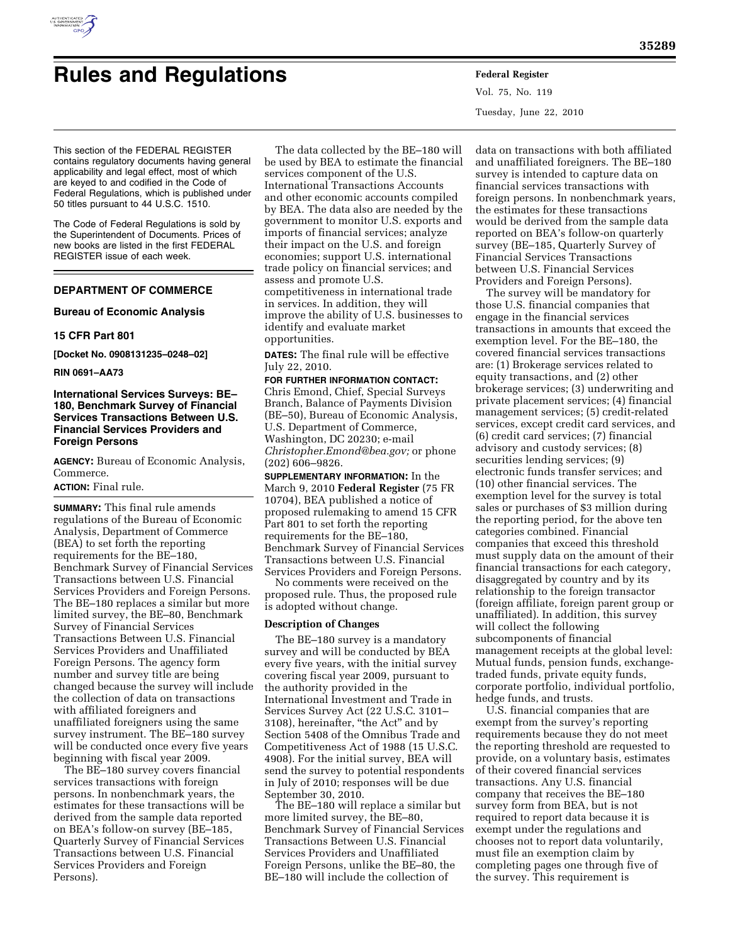

# **Rules and Regulations Federal Register**

Vol. 75, No. 119 Tuesday, June 22, 2010

This section of the FEDERAL REGISTER contains regulatory documents having general applicability and legal effect, most of which are keyed to and codified in the Code of Federal Regulations, which is published under 50 titles pursuant to 44 U.S.C. 1510.

The Code of Federal Regulations is sold by the Superintendent of Documents. Prices of new books are listed in the first FEDERAL REGISTER issue of each week.

## **DEPARTMENT OF COMMERCE**

**Bureau of Economic Analysis** 

### **15 CFR Part 801**

**[Docket No. 0908131235–0248–02]** 

#### **RIN 0691–AA73**

# **International Services Surveys: BE– 180, Benchmark Survey of Financial Services Transactions Between U.S. Financial Services Providers and Foreign Persons**

**AGENCY:** Bureau of Economic Analysis, Commerce.

# **ACTION:** Final rule.

**SUMMARY:** This final rule amends regulations of the Bureau of Economic Analysis, Department of Commerce (BEA) to set forth the reporting requirements for the BE–180, Benchmark Survey of Financial Services Transactions between U.S. Financial Services Providers and Foreign Persons. The BE–180 replaces a similar but more limited survey, the BE–80, Benchmark Survey of Financial Services Transactions Between U.S. Financial Services Providers and Unaffiliated Foreign Persons. The agency form number and survey title are being changed because the survey will include the collection of data on transactions with affiliated foreigners and unaffiliated foreigners using the same survey instrument. The BE–180 survey will be conducted once every five years beginning with fiscal year 2009.

The BE–180 survey covers financial services transactions with foreign persons. In nonbenchmark years, the estimates for these transactions will be derived from the sample data reported on BEA's follow-on survey (BE–185, Quarterly Survey of Financial Services Transactions between U.S. Financial Services Providers and Foreign Persons).

The data collected by the BE–180 will be used by BEA to estimate the financial services component of the U.S. International Transactions Accounts and other economic accounts compiled by BEA. The data also are needed by the government to monitor U.S. exports and imports of financial services; analyze their impact on the U.S. and foreign economies; support U.S. international trade policy on financial services; and assess and promote U.S. competitiveness in international trade in services. In addition, they will improve the ability of U.S. businesses to identify and evaluate market opportunities.

**DATES:** The final rule will be effective July 22, 2010.

#### **FOR FURTHER INFORMATION CONTACT:**

Chris Emond, Chief, Special Surveys Branch, Balance of Payments Division (BE–50), Bureau of Economic Analysis, U.S. Department of Commerce, Washington, DC 20230; e-mail *Christopher.Emond@bea.gov;* or phone (202) 606–9826.

**SUPPLEMENTARY INFORMATION:** In the March 9, 2010 **Federal Register** (75 FR 10704), BEA published a notice of proposed rulemaking to amend 15 CFR Part 801 to set forth the reporting requirements for the BE–180, Benchmark Survey of Financial Services Transactions between U.S. Financial Services Providers and Foreign Persons.

No comments were received on the proposed rule. Thus, the proposed rule is adopted without change.

#### **Description of Changes**

The BE–180 survey is a mandatory survey and will be conducted by BEA every five years, with the initial survey covering fiscal year 2009, pursuant to the authority provided in the International Investment and Trade in Services Survey Act (22 U.S.C. 3101– 3108), hereinafter, ''the Act'' and by Section 5408 of the Omnibus Trade and Competitiveness Act of 1988 (15 U.S.C. 4908). For the initial survey, BEA will send the survey to potential respondents in July of 2010; responses will be due September 30, 2010.

The BE–180 will replace a similar but more limited survey, the BE–80, Benchmark Survey of Financial Services Transactions Between U.S. Financial Services Providers and Unaffiliated Foreign Persons, unlike the BE–80, the BE–180 will include the collection of

data on transactions with both affiliated and unaffiliated foreigners. The BE–180 survey is intended to capture data on financial services transactions with foreign persons. In nonbenchmark years, the estimates for these transactions would be derived from the sample data reported on BEA's follow-on quarterly survey (BE–185, Quarterly Survey of Financial Services Transactions between U.S. Financial Services Providers and Foreign Persons).

The survey will be mandatory for those U.S. financial companies that engage in the financial services transactions in amounts that exceed the exemption level. For the BE–180, the covered financial services transactions are: (1) Brokerage services related to equity transactions, and (2) other brokerage services; (3) underwriting and private placement services; (4) financial management services; (5) credit-related services, except credit card services, and (6) credit card services; (7) financial advisory and custody services; (8) securities lending services; (9) electronic funds transfer services; and (10) other financial services. The exemption level for the survey is total sales or purchases of \$3 million during the reporting period, for the above ten categories combined. Financial companies that exceed this threshold must supply data on the amount of their financial transactions for each category, disaggregated by country and by its relationship to the foreign transactor (foreign affiliate, foreign parent group or unaffiliated). In addition, this survey will collect the following subcomponents of financial management receipts at the global level: Mutual funds, pension funds, exchangetraded funds, private equity funds, corporate portfolio, individual portfolio, hedge funds, and trusts.

U.S. financial companies that are exempt from the survey's reporting requirements because they do not meet the reporting threshold are requested to provide, on a voluntary basis, estimates of their covered financial services transactions. Any U.S. financial company that receives the BE–180 survey form from BEA, but is not required to report data because it is exempt under the regulations and chooses not to report data voluntarily, must file an exemption claim by completing pages one through five of the survey. This requirement is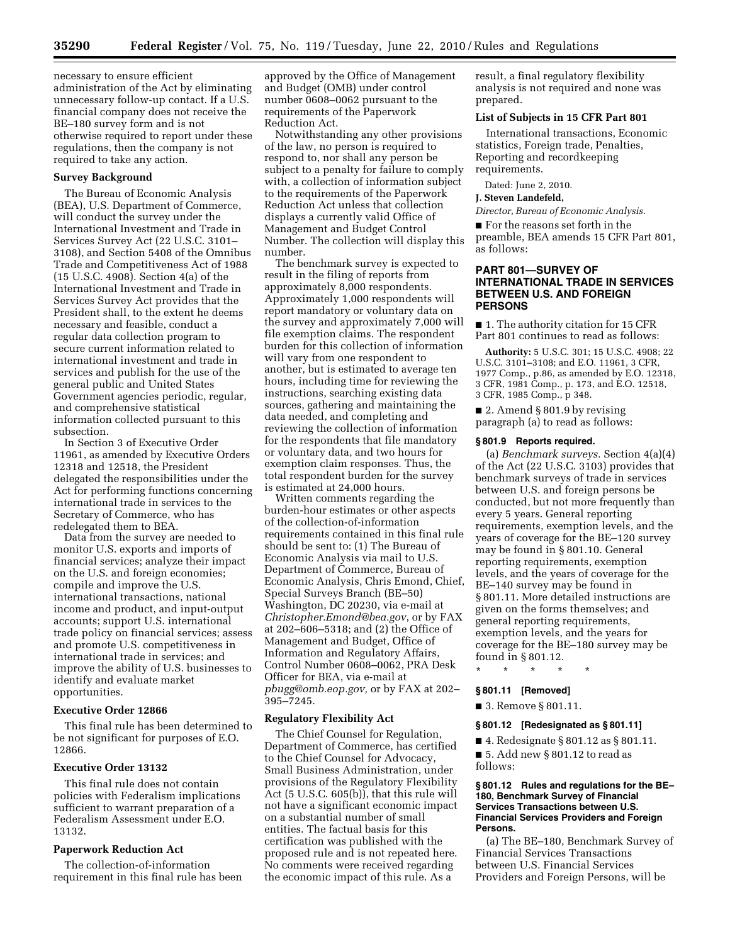necessary to ensure efficient administration of the Act by eliminating unnecessary follow-up contact. If a U.S. financial company does not receive the BE–180 survey form and is not otherwise required to report under these regulations, then the company is not required to take any action.

#### **Survey Background**

The Bureau of Economic Analysis (BEA), U.S. Department of Commerce, will conduct the survey under the International Investment and Trade in Services Survey Act (22 U.S.C. 3101– 3108), and Section 5408 of the Omnibus Trade and Competitiveness Act of 1988 (15 U.S.C. 4908). Section 4(a) of the International Investment and Trade in Services Survey Act provides that the President shall, to the extent he deems necessary and feasible, conduct a regular data collection program to secure current information related to international investment and trade in services and publish for the use of the general public and United States Government agencies periodic, regular, and comprehensive statistical information collected pursuant to this subsection.

In Section 3 of Executive Order 11961, as amended by Executive Orders 12318 and 12518, the President delegated the responsibilities under the Act for performing functions concerning international trade in services to the Secretary of Commerce, who has redelegated them to BEA.

Data from the survey are needed to monitor U.S. exports and imports of financial services; analyze their impact on the U.S. and foreign economies; compile and improve the U.S. international transactions, national income and product, and input-output accounts; support U.S. international trade policy on financial services; assess and promote U.S. competitiveness in international trade in services; and improve the ability of U.S. businesses to identify and evaluate market opportunities.

#### **Executive Order 12866**

This final rule has been determined to be not significant for purposes of E.O. 12866.

# **Executive Order 13132**

This final rule does not contain policies with Federalism implications sufficient to warrant preparation of a Federalism Assessment under E.O. 13132.

#### **Paperwork Reduction Act**

The collection-of-information requirement in this final rule has been

approved by the Office of Management and Budget (OMB) under control number 0608–0062 pursuant to the requirements of the Paperwork Reduction Act.

Notwithstanding any other provisions of the law, no person is required to respond to, nor shall any person be subject to a penalty for failure to comply with, a collection of information subject to the requirements of the Paperwork Reduction Act unless that collection displays a currently valid Office of Management and Budget Control Number. The collection will display this number.

The benchmark survey is expected to result in the filing of reports from approximately 8,000 respondents. Approximately 1,000 respondents will report mandatory or voluntary data on the survey and approximately 7,000 will file exemption claims. The respondent burden for this collection of information will vary from one respondent to another, but is estimated to average ten hours, including time for reviewing the instructions, searching existing data sources, gathering and maintaining the data needed, and completing and reviewing the collection of information for the respondents that file mandatory or voluntary data, and two hours for exemption claim responses. Thus, the total respondent burden for the survey is estimated at 24,000 hours.

Written comments regarding the burden-hour estimates or other aspects of the collection-of-information requirements contained in this final rule should be sent to: (1) The Bureau of Economic Analysis via mail to U.S. Department of Commerce, Bureau of Economic Analysis, Chris Emond, Chief, Special Surveys Branch (BE–50) Washington, DC 20230, via e-mail at *Christopher.Emond@bea.gov*, or by FAX at 202–606–5318; and (2) the Office of Management and Budget, Office of Information and Regulatory Affairs, Control Number 0608–0062, PRA Desk Officer for BEA, via e-mail at *pbugg@omb.eop.gov,* or by FAX at 202– 395–7245.

#### **Regulatory Flexibility Act**

The Chief Counsel for Regulation, Department of Commerce, has certified to the Chief Counsel for Advocacy, Small Business Administration, under provisions of the Regulatory Flexibility Act (5 U.S.C. 605(b)), that this rule will not have a significant economic impact on a substantial number of small entities. The factual basis for this certification was published with the proposed rule and is not repeated here. No comments were received regarding the economic impact of this rule. As a

result, a final regulatory flexibility analysis is not required and none was prepared.

#### **List of Subjects in 15 CFR Part 801**

International transactions, Economic statistics, Foreign trade, Penalties, Reporting and recordkeeping requirements.

Dated: June 2, 2010.

#### **J. Steven Landefeld,**

*Director, Bureau of Economic Analysis.* 

■ For the reasons set forth in the preamble, BEA amends 15 CFR Part 801, as follows:

## **PART 801—SURVEY OF INTERNATIONAL TRADE IN SERVICES BETWEEN U.S. AND FOREIGN PERSONS**

■ 1. The authority citation for 15 CFR Part 801 continues to read as follows:

**Authority:** 5 U.S.C. 301; 15 U.S.C. 4908; 22 U.S.C. 3101–3108; and E.O. 11961, 3 CFR, 1977 Comp., p.86, as amended by E.O. 12318, 3 CFR, 1981 Comp., p. 173, and E.O. 12518, 3 CFR, 1985 Comp., p 348.

■ 2. Amend § 801.9 by revising paragraph (a) to read as follows:

#### **§ 801.9 Reports required.**

(a) *Benchmark surveys.* Section 4(a)(4) of the Act (22 U.S.C. 3103) provides that benchmark surveys of trade in services between U.S. and foreign persons be conducted, but not more frequently than every 5 years. General reporting requirements, exemption levels, and the years of coverage for the BE–120 survey may be found in § 801.10. General reporting requirements, exemption levels, and the years of coverage for the BE–140 survey may be found in § 801.11. More detailed instructions are given on the forms themselves; and general reporting requirements, exemption levels, and the years for coverage for the BE–180 survey may be found in § 801.12.

#### **§ 801.11 [Removed]**

■ 3. Remove § 801.11.

\* \* \* \* \*

#### **§ 801.12 [Redesignated as § 801.11]**

■ 4. Redesignate § 801.12 as § 801.11.

■ 5. Add new § 801.12 to read as follows:

#### **§ 801.12 Rules and regulations for the BE– 180, Benchmark Survey of Financial Services Transactions between U.S. Financial Services Providers and Foreign Persons.**

(a) The BE–180, Benchmark Survey of Financial Services Transactions between U.S. Financial Services Providers and Foreign Persons, will be